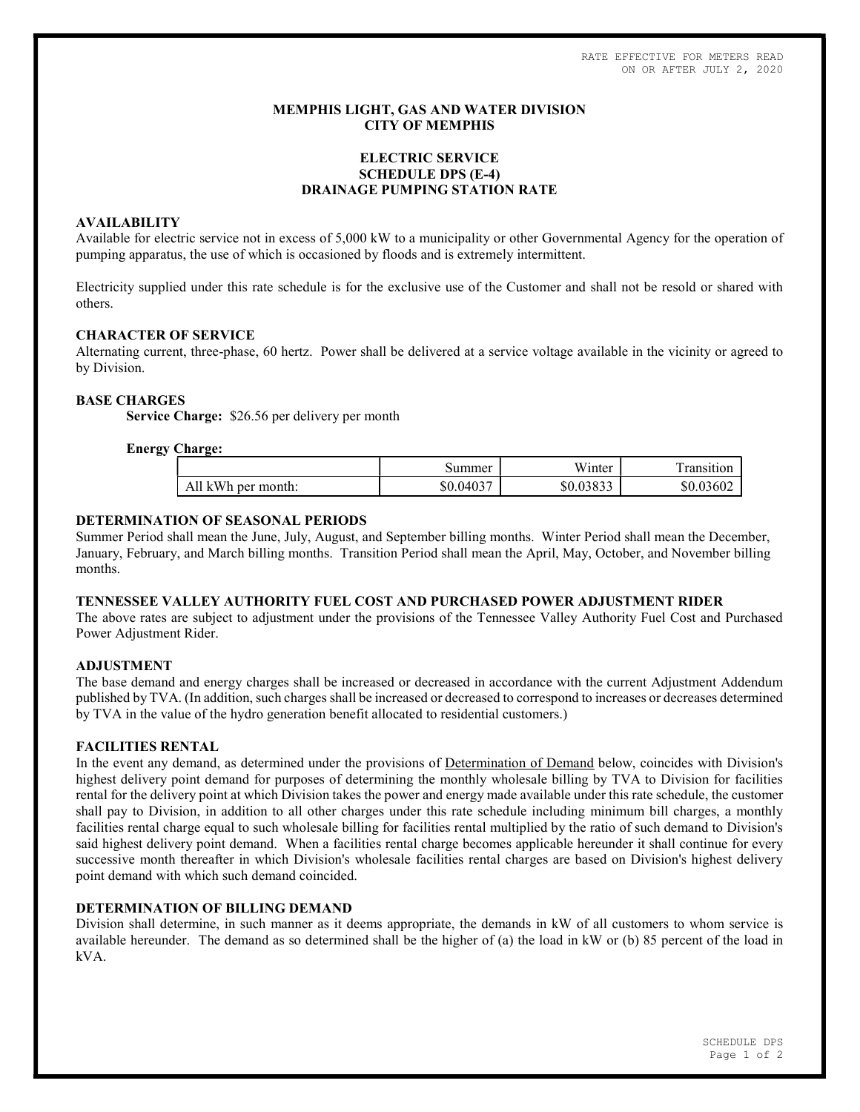RATE EFFECTIVE FOR METERS READ ON OR AFTER JULY 2, 2020

## MEMPHIS LIGHT, GAS AND WATER DIVISION CITY OF MEMPHIS

# ELECTRIC SERVICE SCHEDULE DPS (E-4) DRAINAGE PUMPING STATION RATE

## AVAILABILITY

Available for electric service not in excess of 5,000 kW to a municipality or other Governmental Agency for the operation of pumping apparatus, the use of which is occasioned by floods and is extremely intermittent.

Electricity supplied under this rate schedule is for the exclusive use of the Customer and shall not be resold or shared with others.

## CHARACTER OF SERVICE

Alternating current, three-phase, 60 hertz. Power shall be delivered at a service voltage available in the vicinity or agreed to by Division.

## BASE CHARGES

Service Charge: \$26.56 per delivery per month

## Energy Charge:

|                                  | summer    | <b>TT 7*</b><br>W <sub>inter</sub> | ransition |
|----------------------------------|-----------|------------------------------------|-----------|
| kWh<br>A11<br>. per month:<br>n. | \$0.04037 | 0.2022<br>ሶ ለ<br><u>50.03833</u>   | \$0.03602 |

## DETERMINATION OF SEASONAL PERIODS

Summer Period shall mean the June, July, August, and September billing months. Winter Period shall mean the December, January, February, and March billing months. Transition Period shall mean the April, May, October, and November billing months.

# TENNESSEE VALLEY AUTHORITY FUEL COST AND PURCHASED POWER ADJUSTMENT RIDER

The above rates are subject to adjustment under the provisions of the Tennessee Valley Authority Fuel Cost and Purchased Power Adjustment Rider.

#### ADJUSTMENT

The base demand and energy charges shall be increased or decreased in accordance with the current Adjustment Addendum published by TVA. (In addition, such charges shall be increased or decreased to correspond to increases or decreases determined by TVA in the value of the hydro generation benefit allocated to residential customers.)

#### FACILITIES RENTAL

In the event any demand, as determined under the provisions of Determination of Demand below, coincides with Division's highest delivery point demand for purposes of determining the monthly wholesale billing by TVA to Division for facilities rental for the delivery point at which Division takes the power and energy made available under this rate schedule, the customer shall pay to Division, in addition to all other charges under this rate schedule including minimum bill charges, a monthly facilities rental charge equal to such wholesale billing for facilities rental multiplied by the ratio of such demand to Division's said highest delivery point demand. When a facilities rental charge becomes applicable hereunder it shall continue for every successive month thereafter in which Division's wholesale facilities rental charges are based on Division's highest delivery point demand with which such demand coincided.

# DETERMINATION OF BILLING DEMAND

Division shall determine, in such manner as it deems appropriate, the demands in kW of all customers to whom service is available hereunder. The demand as so determined shall be the higher of (a) the load in kW or (b) 85 percent of the load in kVA.